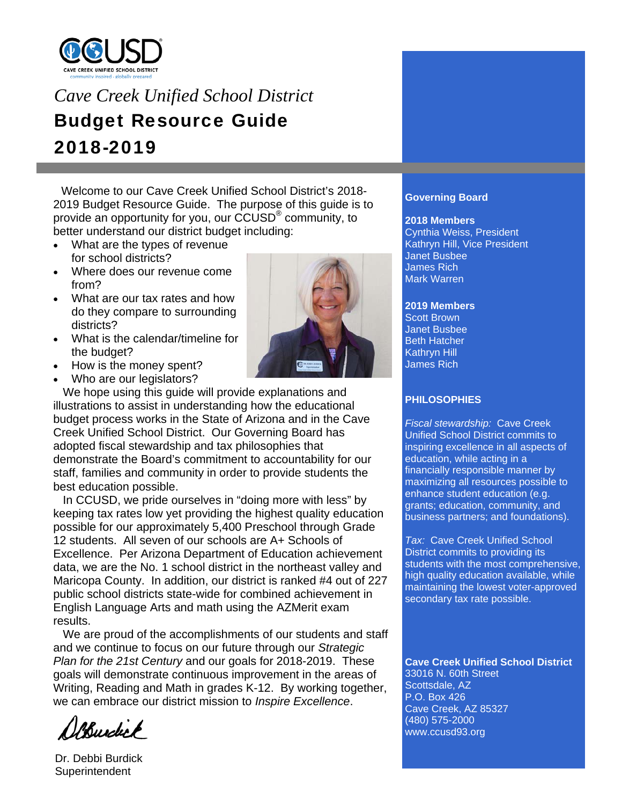

# *Cave Creek Unified School District*  Budget Resource Guide 2018-2019

 Welcome to our Cave Creek Unified School District's 2018- 2019 Budget Resource Guide. The purpose of this guide is to provide an opportunity for you, our CCUSD® community, to better understand our district budget including:

- What are the types of revenue for school districts?
- Where does our revenue come from?
- What are our tax rates and how do they compare to surrounding districts?
- What is the calendar/timeline for the budget?
- How is the money spent?
- Who are our legislators?

 We hope using this guide will provide explanations and illustrations to assist in understanding how the educational budget process works in the State of Arizona and in the Cave Creek Unified School District. Our Governing Board has adopted fiscal stewardship and tax philosophies that demonstrate the Board's commitment to accountability for our staff, families and community in order to provide students the best education possible.

In CCUSD, we pride ourselves in "doing more with less" by keeping tax rates low yet providing the highest quality education possible for our approximately 5,400 Preschool through Grade 12 students. All seven of our schools are A+ Schools of Excellence. Per Arizona Department of Education achievement data, we are the No. 1 school district in the northeast valley and Maricopa County. In addition, our district is ranked #4 out of 227 public school districts state-wide for combined achievement in English Language Arts and math using the AZMerit exam results.

 We are proud of the accomplishments of our students and staff and we continue to focus on our future through our *Strategic Plan for the 21st Century* and our goals for 2018-2019. These goals will demonstrate continuous improvement in the areas of Writing, Reading and Math in grades K-12. By working together, we can embrace our district mission to *Inspire Excellence*.

Burdick

Dr. Debbi Burdick **Superintendent** 



## **Governing Board**

#### **2018 Members**

Cynthia Weiss, President Kathryn Hill, Vice President Janet Busbee James Rich Mark Warren

## **2019 Members**

Scott Brown Janet Busbee Beth Hatcher Kathryn Hill James Rich

## **PHILOSOPHIES**

*Fiscal stewardship:* Cave Creek Unified School District commits to inspiring excellence in all aspects of education, while acting in a financially responsible manner by maximizing all resources possible to enhance student education (e.g. grants; education, community, and business partners; and foundations).

*Tax:* Cave Creek Unified School District commits to providing its students with the most comprehensive, high quality education available, while maintaining the lowest voter-approved secondary tax rate possible.

**Cave Creek Unified School District**  33016 N. 60th Street Scottsdale, AZ P.O. Box 426 Cave Creek, AZ 85327 (480) 575-2000 www.ccusd93.org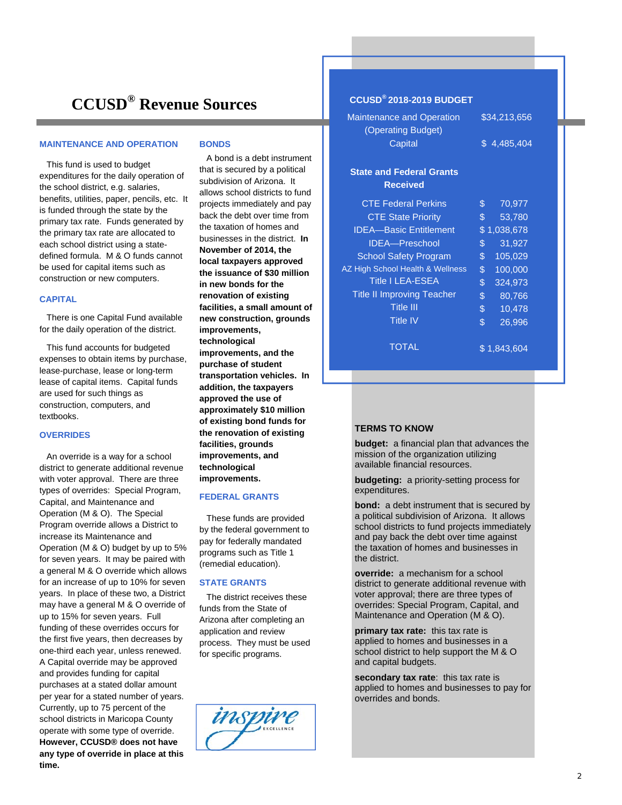## **CCUSD® Revenue Sources**

#### **MAINTENANCE AND OPERATION**

 This fund is used to budget expenditures for the daily operation of the school district, e.g. salaries, benefits, utilities, paper, pencils, etc. It is funded through the state by the primary tax rate. Funds generated by the primary tax rate are allocated to each school district using a statedefined formula. M & O funds cannot be used for capital items such as construction or new computers.

#### **CAPITAL**

 There is one Capital Fund available for the daily operation of the district.

 This fund accounts for budgeted expenses to obtain items by purchase, lease-purchase, lease or long-term lease of capital items. Capital funds are used for such things as construction, computers, and textbooks.

#### **OVERRIDES**

 An override is a way for a school district to generate additional revenue with voter approval. There are three types of overrides: Special Program, Capital, and Maintenance and Operation (M & O). The Special Program override allows a District to increase its Maintenance and Operation (M & O) budget by up to 5% for seven years. It may be paired with a general M & O override which allows for an increase of up to 10% for seven years. In place of these two, a District may have a general M & O override of up to 15% for seven years. Full funding of these overrides occurs for the first five years, then decreases by one-third each year, unless renewed. A Capital override may be approved and provides funding for capital purchases at a stated dollar amount per year for a stated number of years. Currently, up to 75 percent of the school districts in Maricopa County operate with some type of override. **However, CCUSD® does not have any type of override in place at this time.** 

#### **BONDS**

 A bond is a debt instrument that is secured by a political subdivision of Arizona. It allows school districts to fund projects immediately and pay back the debt over time from the taxation of homes and businesses in the district. **In November of 2014, the local taxpayers approved the issuance of \$30 million in new bonds for the renovation of existing facilities, a small amount of new construction, grounds improvements, technological improvements, and the purchase of student transportation vehicles. In addition, the taxpayers approved the use of approximately \$10 million of existing bond funds for the renovation of existing facilities, grounds improvements, and technological improvements.**

#### **FEDERAL GRANTS**

 These funds are provided by the federal government to pay for federally mandated programs such as Title 1 (remedial education).

#### **STATE GRANTS**

 The district receives these funds from the State of Arizona after completing an application and review process. They must be used for specific programs.



## **CCUSD® 2018-2019 BUDGET**

| <b>Maintenance and Operation</b><br>(Operating Budget)<br>Capital | \$34,213,656<br>\$4,485,404 |
|-------------------------------------------------------------------|-----------------------------|
| <b>State and Federal Grants</b><br>Received                       |                             |
| <b>CTE Federal Perkins</b>                                        | 70,977<br>\$                |
| <b>CTE State Priority</b>                                         | \$<br>53,780                |
| <b>IDEA-Basic Entitlement</b>                                     | \$1,038,678                 |
| <b>IDEA-Preschool</b>                                             | \$<br>31,927                |
| <b>School Safety Program</b>                                      | \$<br>105,029               |
| AZ High School Health & Wellness                                  | $\mathcal{S}$<br>100,000    |
| <b>Title I LEA-ESEA</b>                                           | $\frac{1}{2}$<br>324,973    |
| <b>Title II Improving Teacher</b>                                 | \$<br>80,766                |
| <b>Title III</b>                                                  | \$<br>10,478                |
| <b>Title IV</b>                                                   | \$<br>26,996                |
| TOTAL                                                             | \$1.843.604                 |

#### **TERMS TO KNOW**

**budget:** a financial plan that advances the mission of the organization utilizing available financial resources.

**budgeting:** a priority-setting process for expenditures.

**bond:** a debt instrument that is secured by a political subdivision of Arizona. It allows school districts to fund projects immediately and pay back the debt over time against the taxation of homes and businesses in the district.

**override:** a mechanism for a school district to generate additional revenue with voter approval; there are three types of overrides: Special Program, Capital, and Maintenance and Operation (M & O).

**primary tax rate:** this tax rate is applied to homes and businesses in a school district to help support the M & O and capital budgets.

**secondary tax rate**: this tax rate is applied to homes and businesses to pay for overrides and bonds.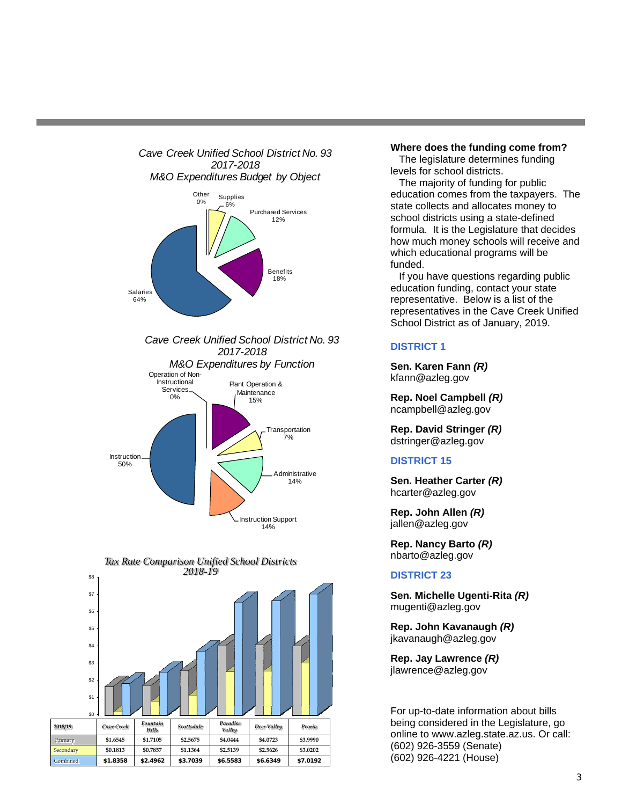

7% Instruction

> Administrative 14%



50%



#### **Where does the funding come from?**

 The legislature determines funding levels for school districts.

 The majority of funding for public education comes from the taxpayers. The state collects and allocates money to school districts using a state-defined formula. It is the Legislature that decides how much money schools will receive and which educational programs will be funded.

 If you have questions regarding public education funding, contact your state representative. Below is a list of the representatives in the Cave Creek Unified School District as of January, 2019.

### **DISTRICT 1**

**Sen. Karen Fann** *(R)* kfann@azleg.gov

**Rep. Noel Campbell** *(R)* ncampbell@azleg.gov

**Rep. David Stringer** *(R)* dstringer@azleg.gov

#### **DISTRICT 15**

**Sen. Heather Carter** *(R)* hcarter@azleg.gov

**Rep. John Allen** *(R)* jallen@azleg.gov

**Rep. Nancy Barto** *(R)* nbarto@azleg.gov

### **DISTRICT 23**

**Sen. Michelle Ugenti-Rita** *(R)* mugenti@azleg.gov

**Rep. John Kavanaugh** *(R)* jkavanaugh@azleg.gov

**Rep. Jay Lawrence** *(R)* jlawrence@azleg.gov

For up-to-date information about bills being considered in the Legislature, go online to www.azleg.state.az.us. Or call: (602) 926-3559 (Senate) (602) 926-4221 (House)